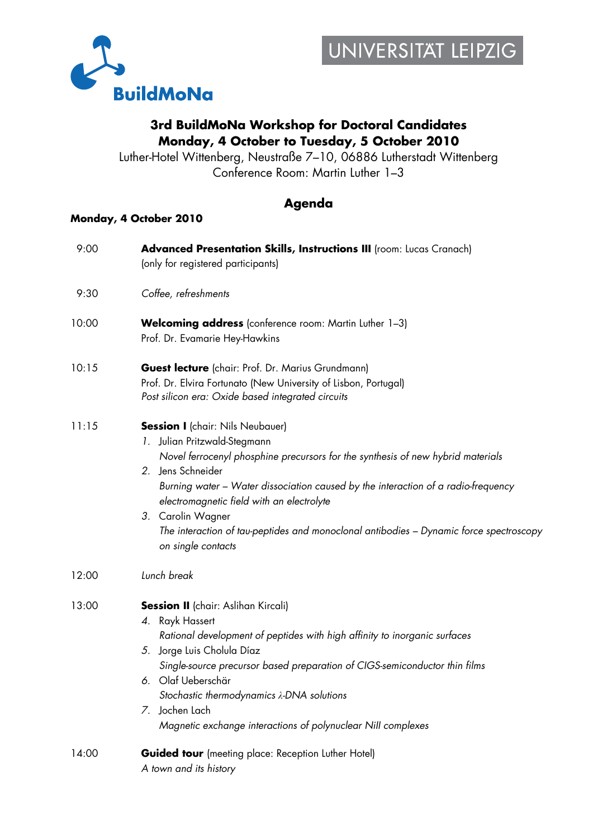

## **3rd BuildMoNa Workshop for Doctoral Candidates Monday, 4 October to Tuesday, 5 October 2010**

Luther-Hotel Wittenberg, Neustraße 7–10, 06886 Lutherstadt Wittenberg Conference Room: Martin Luther 1–3

## **Agenda**

## **Monday, 4 October 2010**

| 9:00  | Advanced Presentation Skills, Instructions III (room: Lucas Cranach)<br>(only for registered participants)                                                                                                                                                                                                                                                                                                                                             |
|-------|--------------------------------------------------------------------------------------------------------------------------------------------------------------------------------------------------------------------------------------------------------------------------------------------------------------------------------------------------------------------------------------------------------------------------------------------------------|
| 9:30  | Coffee, refreshments                                                                                                                                                                                                                                                                                                                                                                                                                                   |
| 10:00 | <b>Welcoming address</b> (conference room: Martin Luther 1-3)<br>Prof. Dr. Evamarie Hey-Hawkins                                                                                                                                                                                                                                                                                                                                                        |
| 10:15 | Guest lecture (chair: Prof. Dr. Marius Grundmann)<br>Prof. Dr. Elvira Fortunato (New University of Lisbon, Portugal)<br>Post silicon era: Oxide based integrated circuits                                                                                                                                                                                                                                                                              |
| 11:15 | <b>Session I</b> (chair: Nils Neubauer)<br>1. Julian Pritzwald-Stegmann<br>Novel ferrocenyl phosphine precursors for the synthesis of new hybrid materials<br>2. Jens Schneider<br>Burning water – Water dissociation caused by the interaction of a radio-frequency<br>electromagnetic field with an electrolyte<br>3. Carolin Wagner<br>The interaction of tau-peptides and monoclonal antibodies – Dynamic force spectroscopy<br>on single contacts |
| 12:00 | Lunch break                                                                                                                                                                                                                                                                                                                                                                                                                                            |
| 13:00 | <b>Session II</b> (chair: Aslihan Kircali)<br>4. Rayk Hassert<br>Rational development of peptides with high affinity to inorganic surfaces<br>5. Jorge Luis Cholula Díaz<br>Single-source precursor based preparation of CIGS-semiconductor thin films<br>6. Olaf Ueberschär<br>Stochastic thermodynamics $\lambda$ -DNA solutions<br>Jochen Lach<br>7.<br>Magnetic exchange interactions of polynuclear Nill complexes                                |
| 14:00 | <b>Guided tour</b> (meeting place: Reception Luther Hotel)<br>A town and its history                                                                                                                                                                                                                                                                                                                                                                   |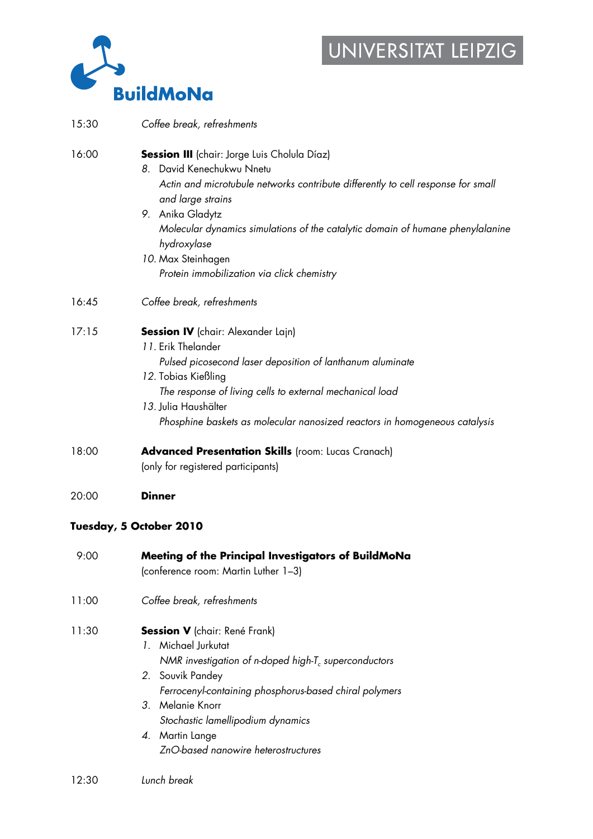## UNIVERSITAT LEIPZIG



| 15:30 | Coffee break, refreshments                                                                                                                                                                                                                                                                                                                                                  |
|-------|-----------------------------------------------------------------------------------------------------------------------------------------------------------------------------------------------------------------------------------------------------------------------------------------------------------------------------------------------------------------------------|
| 16:00 | Session III (chair: Jorge Luis Cholula Díaz)<br>8. David Kenechukwu Nnetu<br>Actin and microtubule networks contribute differently to cell response for small<br>and large strains<br>9. Anika Gladytz<br>Molecular dynamics simulations of the catalytic domain of humane phenylalanine<br>hydroxylase<br>10. Max Steinhagen<br>Protein immobilization via click chemistry |
| 16:45 | Coffee break, refreshments                                                                                                                                                                                                                                                                                                                                                  |
| 17:15 | <b>Session IV</b> (chair: Alexander Lajn)<br>11. Erik Thelander<br>Pulsed picosecond laser deposition of lanthanum aluminate<br>12. Tobias Kießling<br>The response of living cells to external mechanical load<br>13. Julia Haushälter<br>Phosphine baskets as molecular nanosized reactors in homogeneous catalysis                                                       |
| 18:00 | <b>Advanced Presentation Skills</b> (room: Lucas Cranach)<br>(only for registered participants)                                                                                                                                                                                                                                                                             |
| 20:00 | <b>Dinner</b>                                                                                                                                                                                                                                                                                                                                                               |
|       | Tuesday, 5 October 2010                                                                                                                                                                                                                                                                                                                                                     |
| 9:00  | Meeting of the Principal Investigators of BuildMoNa<br>(conference room: Martin Luther 1-3)                                                                                                                                                                                                                                                                                 |
| 11:00 | Coffee break, refreshments                                                                                                                                                                                                                                                                                                                                                  |
|       |                                                                                                                                                                                                                                                                                                                                                                             |

- 11:30 **Session V** (chair: René Frank) *1.* Michael Jurkutat *NMR investigation of n-doped high-T<sub>c</sub> superconductors 2.* Souvik Pandey *Ferrocenyl-containing phosphorus-based chiral polymers 3.* Melanie Knorr *Stochastic lamellipodium dynamics 4.* Martin Lange
	- *ZnO-based nanowire heterostructures*